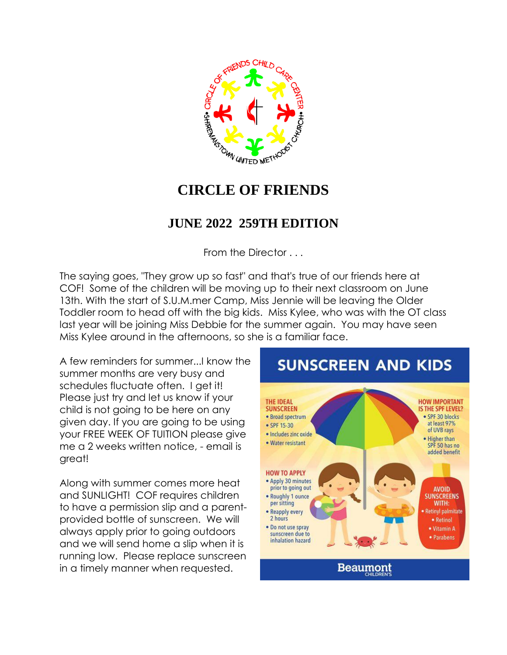

## **CIRCLE OF FRIENDS**

#### **JUNE 2022 259TH EDITION**

From the Director . . .

The saying goes, "They grow up so fast" and that's true of our friends here at COF! Some of the children will be moving up to their next classroom on June 13th. With the start of S.U.M.mer Camp, Miss Jennie will be leaving the Older Toddler room to head off with the big kids. Miss Kylee, who was with the OT class last year will be joining Miss Debbie for the summer again. You may have seen Miss Kylee around in the afternoons, so she is a familiar face.

A few reminders for summer...I know the summer months are very busy and schedules fluctuate often. I get it! Please just try and let us know if your child is not going to be here on any given day. If you are going to be using your FREE WEEK OF TUITION please give me a 2 weeks written notice, - email is great!

Along with summer comes more heat and SUNLIGHT! COF requires children to have a permission slip and a parentprovided bottle of sunscreen. We will always apply prior to going outdoors and we will send home a slip when it is running low. Please replace sunscreen in a timely manner when requested.

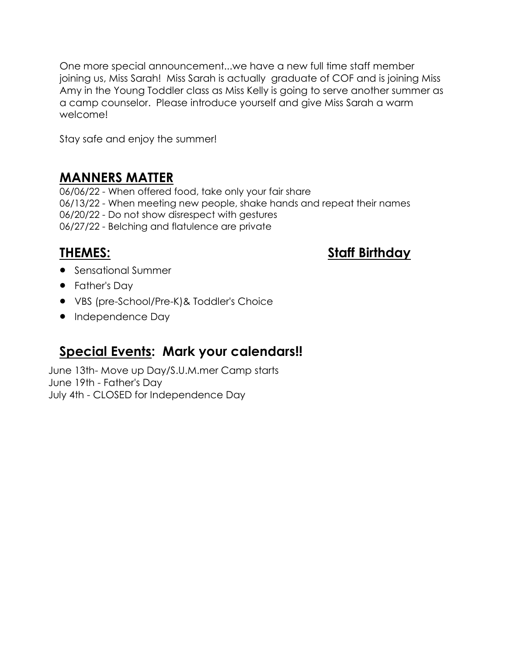One more special announcement...we have a new full time staff member joining us, Miss Sarah! Miss Sarah is actually graduate of COF and is joining Miss Amy in the Young Toddler class as Miss Kelly is going to serve another summer as a camp counselor. Please introduce yourself and give Miss Sarah a warm welcome!

Stay safe and enjoy the summer!

#### **MANNERS MATTER**

06/06/22 - When offered food, take only your fair share 06/13/22 - When meeting new people, shake hands and repeat their names 06/20/22 - Do not show disrespect with gestures 06/27/22 - Belching and flatulence are private

**THEMES: Staff Birthday**

- **•** Sensational Summer
- Father's Dav
- VBS (pre-School/Pre-K)& Toddler's Choice
- Independence Day

### **Special Events: Mark your calendars!!**

June 13th- Move up Day/S.U.M.mer Camp starts June 19th - Father's Day July 4th - CLOSED for Independence Day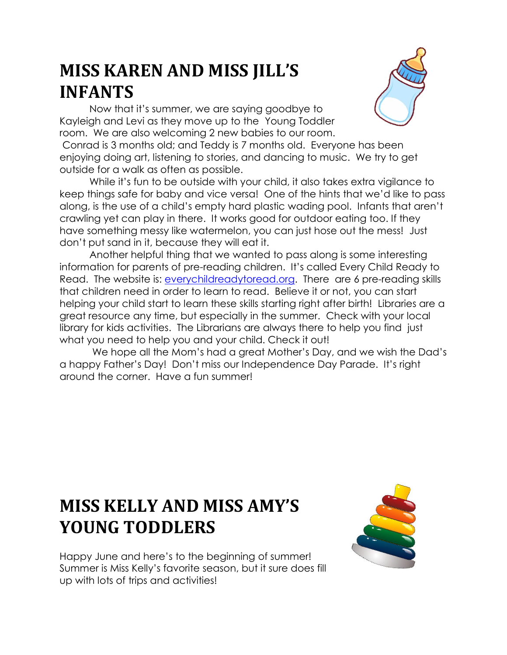# **MISS KAREN AND MISS JILL'S INFANTS**

Now that it's summer, we are saying goodbye to Kayleigh and Levi as they move up to the Young Toddler room. We are also welcoming 2 new babies to our room.



Conrad is 3 months old; and Teddy is 7 months old. Everyone has been enjoying doing art, listening to stories, and dancing to music. We try to get outside for a walk as often as possible.

While it's fun to be outside with your child, it also takes extra vigilance to keep things safe for baby and vice versa! One of the hints that we'd like to pass along, is the use of a child's empty hard plastic wading pool. Infants that aren't crawling yet can play in there. It works good for outdoor eating too. If they have something messy like watermelon, you can just hose out the mess! Just don't put sand in it, because they will eat it.

Another helpful thing that we wanted to pass along is some interesting information for parents of pre-reading children. It's called Every Child Ready to Read. The website is: [everychildreadytoread.org.](http://everychildreadytoread.org/) There are 6 pre-reading skills that children need in order to learn to read. Believe it or not, you can start helping your child start to learn these skills starting right after birth! Libraries are a great resource any time, but especially in the summer. Check with your local library for kids activities. The Librarians are always there to help you find just what you need to help you and your child. Check it out!

We hope all the Mom's had a great Mother's Day, and we wish the Dad's a happy Father's Day! Don't miss our Independence Day Parade. It's right around the corner. Have a fun summer!

# **MISS KELLY AND MISS AMY'S YOUNG TODDLERS**



Happy June and here's to the beginning of summer! Summer is Miss Kelly's favorite season, but it sure does fill up with lots of trips and activities!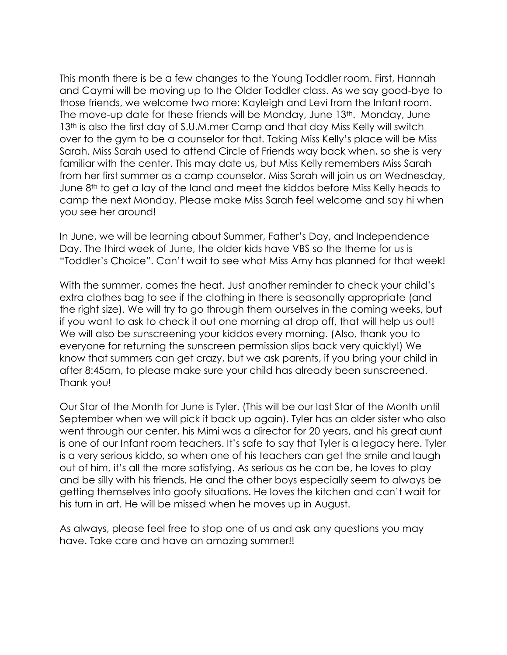This month there is be a few changes to the Young Toddler room. First, Hannah and Caymi will be moving up to the Older Toddler class. As we say good-bye to those friends, we welcome two more: Kayleigh and Levi from the Infant room. The move-up date for these friends will be Monday, June 13th. Monday, June 13<sup>th</sup> is also the first day of S.U.M.mer Camp and that day Miss Kelly will switch over to the gym to be a counselor for that. Taking Miss Kelly's place will be Miss Sarah. Miss Sarah used to attend Circle of Friends way back when, so she is very familiar with the center. This may date us, but Miss Kelly remembers Miss Sarah from her first summer as a camp counselor. Miss Sarah will join us on Wednesday, June 8<sup>th</sup> to get a lay of the land and meet the kiddos before Miss Kelly heads to camp the next Monday. Please make Miss Sarah feel welcome and say hi when you see her around!

In June, we will be learning about Summer, Father's Day, and Independence Day. The third week of June, the older kids have VBS so the theme for us is "Toddler's Choice". Can't wait to see what Miss Amy has planned for that week!

With the summer, comes the heat. Just another reminder to check your child's extra clothes bag to see if the clothing in there is seasonally appropriate (and the right size). We will try to go through them ourselves in the coming weeks, but if you want to ask to check it out one morning at drop off, that will help us out! We will also be sunscreening your kiddos every morning. (Also, thank you to everyone for returning the sunscreen permission slips back very quickly!) We know that summers can get crazy, but we ask parents, if you bring your child in after 8:45am, to please make sure your child has already been sunscreened. Thank you!

Our Star of the Month for June is Tyler. (This will be our last Star of the Month until September when we will pick it back up again). Tyler has an older sister who also went through our center, his Mimi was a director for 20 years, and his great aunt is one of our Infant room teachers. It's safe to say that Tyler is a legacy here. Tyler is a very serious kiddo, so when one of his teachers can get the smile and laugh out of him, it's all the more satisfying. As serious as he can be, he loves to play and be silly with his friends. He and the other boys especially seem to always be getting themselves into goofy situations. He loves the kitchen and can't wait for his turn in art. He will be missed when he moves up in August.

As always, please feel free to stop one of us and ask any questions you may have. Take care and have an amazing summer!!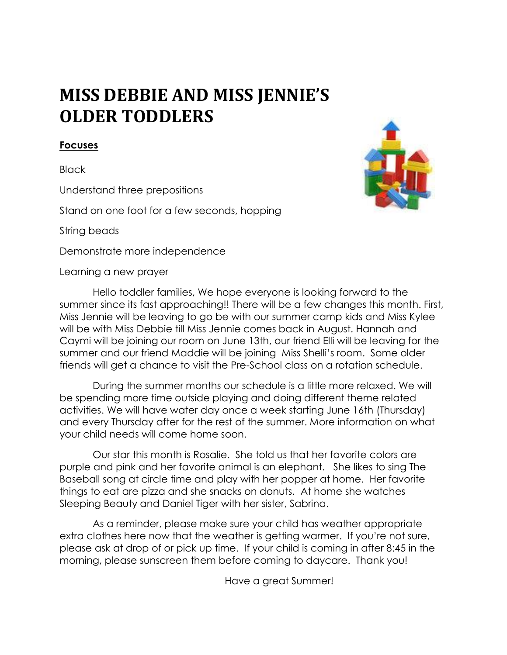# **MISS DEBBIE AND MISS JENNIE'S OLDER TODDLERS**

#### **Focuses**

Black

Understand three prepositions

Stand on one foot for a few seconds, hopping

String beads

Demonstrate more independence

Learning a new prayer Hello toddler families, We hope everyone is looking forward to the summer since its fast approaching!! There will be a few changes this month. First, Miss Jennie will be leaving to go be with our summer camp kids and Miss Kylee will be with Miss Debbie till Miss Jennie comes back in August. Hannah and Caymi will be joining our room on June 13th, our friend Elli will be leaving for the summer and our friend Maddie will be joining Miss Shelli's room. Some older friends will get a chance to visit the Pre-School class on a rotation schedule.

 During the summer months our schedule is a little more relaxed. We will be spending more time outside playing and doing different theme related activities. We will have water day once a week starting June 16th (Thursday) and every Thursday after for the rest of the summer. More information on what your child needs will come home soon.

 Our star this month is Rosalie. She told us that her favorite colors are purple and pink and her favorite animal is an elephant. She likes to sing The Baseball song at circle time and play with her popper at home. Her favorite things to eat are pizza and she snacks on donuts. At home she watches Sleeping Beauty and Daniel Tiger with her sister, Sabrina.

 As a reminder, please make sure your child has weather appropriate extra clothes here now that the weather is getting warmer. If you're not sure, please ask at drop of or pick up time. If your child is coming in after 8:45 in the morning, please sunscreen them before coming to daycare. Thank you!

Have a great Summer!

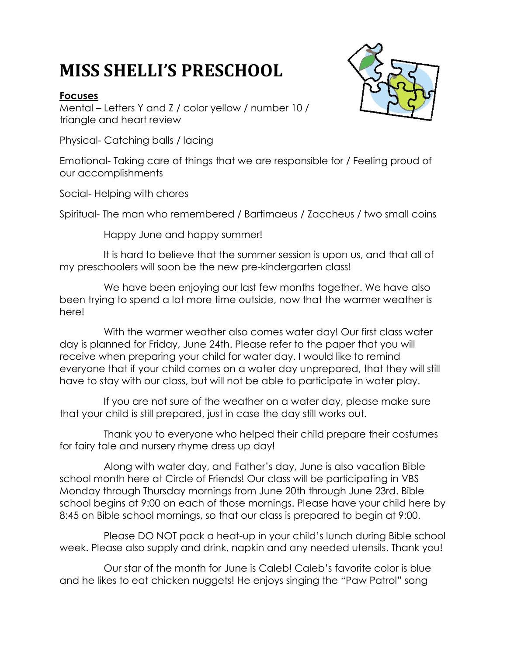# **MISS SHELLI'S PRESCHOOL**

#### **Focuses**

Mental – Letters Y and Z / color yellow / number 10 / triangle and heart review

Physical- Catching balls / lacing

Emotional- Taking care of things that we are responsible for / Feeling proud of our accomplishments

Social- Helping with chores

Spiritual- The man who remembered / Bartimaeus / Zaccheus / two small coins

Happy June and happy summer!

 It is hard to believe that the summer session is upon us, and that all of my preschoolers will soon be the new pre-kindergarten class!

We have been enjoying our last few months together. We have also been trying to spend a lot more time outside, now that the warmer weather is here!

 With the warmer weather also comes water day! Our first class water day is planned for Friday, June 24th. Please refer to the paper that you will receive when preparing your child for water day. I would like to remind everyone that if your child comes on a water day unprepared, that they will still have to stay with our class, but will not be able to participate in water play.

 If you are not sure of the weather on a water day, please make sure that your child is still prepared, just in case the day still works out.

 Thank you to everyone who helped their child prepare their costumes for fairy tale and nursery rhyme dress up day!

 Along with water day, and Father's day, June is also vacation Bible school month here at Circle of Friends! Our class will be participating in VBS Monday through Thursday mornings from June 20th through June 23rd. Bible school begins at 9:00 on each of those mornings. Please have your child here by 8:45 on Bible school mornings, so that our class is prepared to begin at 9:00.

 Please DO NOT pack a heat-up in your child's lunch during Bible school week. Please also supply and drink, napkin and any needed utensils. Thank you!

 Our star of the month for June is Caleb! Caleb's favorite color is blue and he likes to eat chicken nuggets! He enjoys singing the "Paw Patrol" song

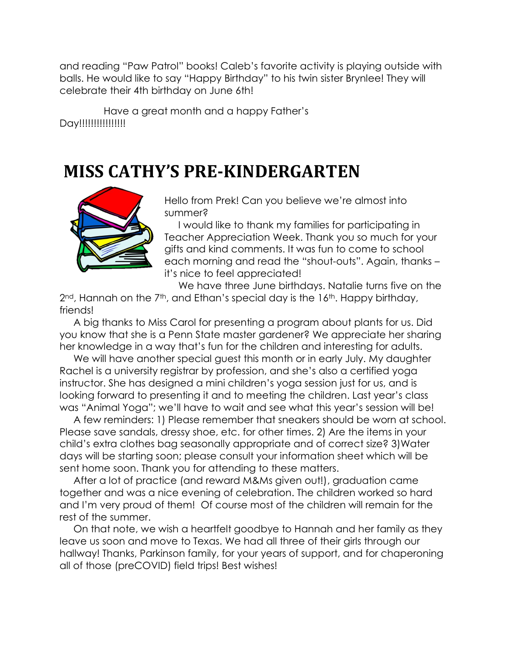and reading "Paw Patrol" books! Caleb's favorite activity is playing outside with balls. He would like to say "Happy Birthday" to his twin sister Brynlee! They will celebrate their 4th birthday on June 6th!

 Have a great month and a happy Father's Day!!!!!!!!!!!!!!!!!

## **MISS CATHY'S PRE-KINDERGARTEN**



Hello from Prek! Can you believe we're almost into summer?

 I would like to thank my families for participating in Teacher Appreciation Week. Thank you so much for your gifts and kind comments. It was fun to come to school each morning and read the "shout-outs". Again, thanks – it's nice to feel appreciated!

 We have three June birthdays. Natalie turns five on the 2<sup>nd</sup>, Hannah on the 7<sup>th</sup>, and Ethan's special day is the 16<sup>th</sup>. Happy birthday, friends!

 A big thanks to Miss Carol for presenting a program about plants for us. Did you know that she is a Penn State master gardener? We appreciate her sharing her knowledge in a way that's fun for the children and interesting for adults.

We will have another special guest this month or in early July. My daughter Rachel is a university registrar by profession, and she's also a certified yoga instructor. She has designed a mini children's yoga session just for us, and is looking forward to presenting it and to meeting the children. Last year's class was "Animal Yoga"; we'll have to wait and see what this year's session will be!

 A few reminders: 1) Please remember that sneakers should be worn at school. Please save sandals, dressy shoe, etc. for other times. 2) Are the items in your child's extra clothes bag seasonally appropriate and of correct size? 3)Water days will be starting soon; please consult your information sheet which will be sent home soon. Thank you for attending to these matters.

 After a lot of practice (and reward M&Ms given out!), graduation came together and was a nice evening of celebration. The children worked so hard and I'm very proud of them! Of course most of the children will remain for the rest of the summer.

 On that note, we wish a heartfelt goodbye to Hannah and her family as they leave us soon and move to Texas. We had all three of their girls through our hallway! Thanks, Parkinson family, for your years of support, and for chaperoning all of those (preCOVID) field trips! Best wishes!